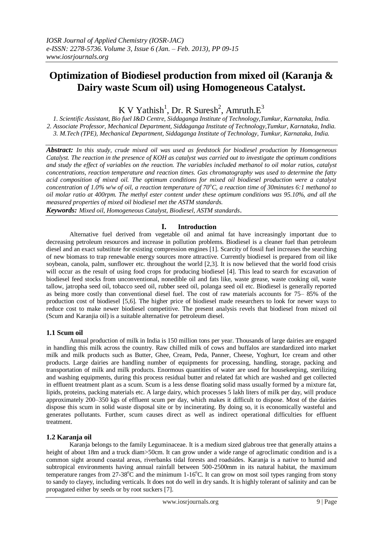# **Optimization of Biodiesel production from mixed oil (Karanja & Dairy waste Scum oil) using Homogeneous Catalyst.**

K V Yathish<sup>1</sup>, Dr. R Suresh<sup>2</sup>, Amruth. $E^3$ 

*1. Scientific Assistant, Bio fuel I&D Centre, Siddaganga Institute of Technology,Tumkur, Karnataka, India. 2. Associate Professor, Mechanical Department, Siddaganga Institute of Technology,Tumkur, Karnataka, India. 3. M.Tech (TPE), Mechanical Department, Siddaganga Institute of Technology, Tumkur, Karnataka, India.*

*Abstract: In this study, crude mixed oil was used as feedstock for biodiesel production by Homogeneous Catalyst. The reaction in the presence of KOH as catalyst was carried out to investigate the optimum conditions and study the effect of variables on the reaction. The variables included methanol to oil molar ratios, catalyst concentrations, reaction temperature and reaction times. Gas chromatography was used to determine the fatty acid composition of mixed oil. The optimum conditions for mixed oil biodiesel production were a catalyst concentration of 1.0% w/w of oil, a reaction temperature of 70<sup>o</sup>C, a reaction time of 30minutes 6:1 methanol to oil molar ratio at 400rpm. The methyl ester content under these optimum conditions was 95.10%, and all the measured properties of mixed oil biodiesel met the ASTM standards.* 

*Keywords: Mixed oil, Homogeneous Catalyst, Biodiesel, ASTM standards*.

## **I. Introduction**

Alternative fuel derived from vegetable oil and animal fat have increasingly important due to decreasing petroleum resources and increase in pollution problems. Biodiesel is a cleaner fuel than petroleum diesel and an exact substitute for existing compression engines [1]. Scarcity of fossil fuel increases the searching of new biomass to trap renewable energy sources more attractive. Currently biodiesel is prepared from oil like soybean, canola, palm, sunflower etc. throughout the world [2,3]. It is now believed that the world food crisis will occur as the result of using food crops for producing biodiesel [4]. This lead to search for excavation of biodiesel feed stocks from unconventional, nonedible oil and fats like, waste grease, waste cooking oil, waste tallow, jatropha seed oil, tobacco seed oil, rubber seed oil, polanga seed oil etc. Biodiesel is generally reported as being more costly than conventional diesel fuel. The cost of raw materials accounts for 75– 85% of the production cost of biodiesel [5,6]. The higher price of biodiesel made researchers to look for newer ways to reduce cost to make newer biodiesel competitive. The present analysis revels that biodiesel from mixed oil (Scum and Karanjia oil) is a suitable alternative for petroleum diesel.

#### **1.1 Scum oil**

Annual production of milk in India is 150 million tons per year. Thousands of large dairies are engaged in handling this milk across the country. Raw chilled milk of cows and buffalos are standardized into market milk and milk products such as Butter, Ghee, Cream, Peda, Panner, Cheese, Yoghurt, Ice cream and other products. Large dairies are handling number of equipments for processing, handling, storage, packing and transportation of milk and milk products. Enormous quantities of water are used for housekeeping, sterilizing and washing equipments, during this process residual butter and related fat which are washed and get collected in effluent treatment plant as a scum. Scum is a less dense floating solid mass usually formed by a mixture fat, lipids, proteins, packing materials etc. A large dairy, which processes 5 lakh liters of milk per day, will produce approximately 200–350 kgs of effluent scum per day, which makes it difficult to dispose. Most of the dairies dispose this scum in solid waste disposal site or by incinerating. By doing so, it is economically wasteful and generates pollutants. Further, scum causes direct as well as indirect operational difficulties for effluent treatment.

#### **1.2 Karanja oil**

Karanja belongs to the family Leguminaceae. It is a medium sized glabrous tree that generally attains a height of about 18m and a truck diam>50cm. It can grow under a wide range of agroclimatic condition and is a common sight around coastal areas, riverbanks tidal forests and roadsides. Karanja is a native to humid and subtropical environments having annual rainfall between 500-2500mm in its natural habitat, the maximum temperature ranges from  $27-38^{\circ}\text{C}$  and the minimum 1-16 $^{\circ}\text{C}$ . It can grow on most soil types ranging from stony to sandy to clayey, including verticals. It does not do well in dry sands. It is highly tolerant of salinity and can be propagated either by seeds or by root suckers [7].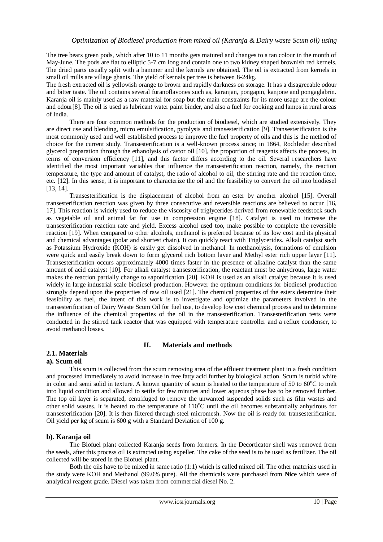The tree bears green pods, which after 10 to 11 months gets matured and changes to a tan colour in the month of May-June. The pods are flat to elliptic 5-7 cm long and contain one to two kidney shaped brownish red kernels. The dried parts usually split with a hammer and the kernels are obtained. The oil is extracted from kernels in small oil mills are village ghanis. The yield of kernals per tree is between 8-24kg.

The fresh extracted oil is yellowish orange to brown and rapidly darkness on storage. It has a disagreeable odour and bitter taste. The oil contains several furanoflavones such as, karanjan, pongapin, kanjone and pongaglabrin. Karanja oil is mainly used as a raw material for soap but the main constraints for its more usage are the colour and odour[8]. The oil is used as lubricant water paint binder, and also a fuel for cooking and lamps in rural areas of India.

There are four common methods for the production of biodiesel, which are studied extensively. They are direct use and blending, micro emulsification, pyrolysis and transesterification [9]. Transesterification is the most commonly used and well established process to improve the fuel property of oils and this is the method of choice for the current study. Transesterification is a well-known process since; in 1864, Rochleder described glycerol preparation through the ethanolysis of castor oil [10], the proportion of reagents affects the process, in terms of conversion efficiency [11], and this factor differs according to the oil. Several researchers have identified the most important variables that influence the transesterification reaction, namely, the reaction temperature, the type and amount of catalyst, the ratio of alcohol to oil, the stirring rate and the reaction time, etc. [12]. In this sense, it is important to characterize the oil and the feasibility to convert the oil into biodiesel [13, 14].

Transesterification is the displacement of alcohol from an ester by another alcohol [15]. Overall transesterification reaction was given by three consecutive and reversible reactions are believed to occur [16, 17]. This reaction is widely used to reduce the viscosity of triglycerides derived from renewable feedstock such as vegetable oil and animal fat for use in compression engine [18]. Catalyst is used to increase the transesterification reaction rate and yield. Excess alcohol used too, make possible to complete the reversible reaction [19]. When compared to other alcohols, methanol is preferred because of its low cost and its physical and chemical advantages (polar and shortest chain). It can quickly react with Triglycerides. Alkali catalyst such as Potassium Hydroxide (KOH) is easily get dissolved in methanol. In methanolysis, formations of emulsion were quick and easily break down to form glycerol rich bottom layer and Methyl ester rich upper layer [11]. Transesterification occurs approximately 4000 times faster in the presence of alkaline catalyst than the same amount of acid catalyst [10]. For alkali catalyst transesterification, the reactant must be anhydrous, large water makes the reaction partially change to saponification [20]. KOH is used as an alkali catalyst because it is used widely in large industrial scale biodiesel production. However the optimum conditions for biodiesel production strongly depend upon the properties of raw oil used [21]. The chemical properties of the esters determine their feasibility as fuel, the intent of this work is to investigate and optimize the parameters involved in the transesterification of Dairy Waste Scum Oil for fuel use, to develop low cost chemical process and to determine the influence of the chemical properties of the oil in the transesterification. Transesterification tests were conducted in the stirred tank reactor that was equipped with temperature controller and a reflux condenser, to avoid methanol losses.

## **II. Materials and methods**

## **2.1. Materials**

## **a). Scum oil**

This scum is collected from the scum removing area of the effluent treatment plant in a fresh condition and processed immediately to avoid increase in free fatty acid further by biological action. Scum is turbid white in color and semi solid in texture. A known quantity of scum is heated to the temperature of 50 to  $60^{\circ}$ C to melt into liquid condition and allowed to settle for few minutes and lower aqueous phase has to be removed further. The top oil layer is separated, centrifuged to remove the unwanted suspended solids such as film wastes and other solid wastes. It is heated to the temperature of  $110^{\circ}$ C until the oil becomes substantially anhydrous for transesterification [20]. It is then filtered through steel micromesh. Now the oil is ready for transesterification. Oil yield per kg of scum is 600 g with a Standard Deviation of 100 g.

#### **b). Karanja oil**

The Biofuel plant collected Karanja seeds from formers. In the Decorticator shell was removed from the seeds, after this process oil is extracted using expeller. The cake of the seed is to be used as fertilizer. The oil collected will be stored in the Biofuel plant.

Both the oils have to be mixed in same ratio (1:1) which is called mixed oil. The other materials used in the study were KOH and Methanol (99.0% pure). All the chemicals were purchased from **Nice** which were of analytical reagent grade. Diesel was taken from commercial diesel No. 2.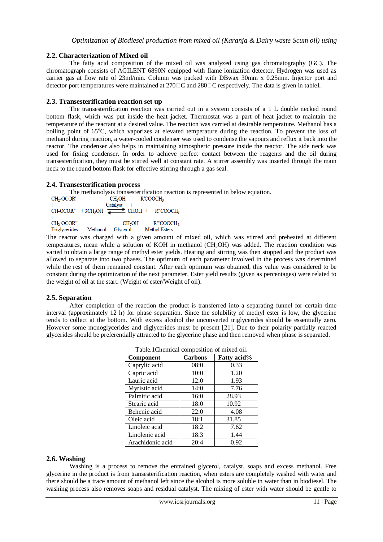### **2.2. Characterization of Mixed oil**

The fatty acid composition of the mixed oil was analyzed using gas chromatography (GC). The chromatograph consists of AGILENT 6890N equipped with flame ionization detector. Hydrogen was used as carrier gas at flow rate of 23ml/min. Column was packed with DBwax 30mm x 0.25mm. Injector port and detector port temperatures were maintained at  $270 \square C$  and  $280 \square C$  respectively. The data is given in table1.

### **2.3. Transesterification reaction set up**

The transesterification reaction was carried out in a system consists of a 1 L double necked round bottom flask, which was put inside the heat jacket. Thermostat was a part of heat jacket to maintain the temperature of the reactant at a desired value. The reaction was carried at desirable temperature. Methanol has a boiling point of 65<sup>o</sup>C, which vaporizes at elevated temperature during the reaction. To prevent the loss of methanol during reaction, a water-cooled condenser was used to condense the vapours and reflux it back into the reactor. The condenser also helps in maintaining atmospheric pressure inside the reactor. The side neck was used for fixing condenser. In order to achieve perfect contact between the reagents and the oil during transesterification, they must be stirred well at constant rate. A stirrer assembly was inserted through the main neck to the round bottom flask for effective stirring through a gas seal.

## **2.4. Transesterification process**

The methanolysis transesterification reaction is represented in below equation.<br>
CH<sub>2</sub>OCOR' CH<sub>2</sub>OH RCOOCH<sub>3</sub> Catalyst  $CH-OCOR''$  + 3CH<sub>3</sub>OH  $\stackrel{\sim}{\blacktriangle}$  CHOH + R"COOCH<sub>3</sub> CH<sub>2</sub>-OCOR"  $CH<sub>2</sub>OH$ R"COOCH3 Triglycerides Methanol Glycerol **Methyl Esters** 

The reactor was charged with a given amount of mixed oil, which was stirred and preheated at different temperatures, mean while a solution of KOH in methanol (CH3OH) was added. The reaction condition was varied to obtain a large range of methyl ester yields. Heating and stirring was then stopped and the product was allowed to separate into two phases. The optimum of each parameter involved in the process was determined while the rest of them remained constant. After each optimum was obtained, this value was considered to be constant during the optimization of the next parameter. Ester yield results (given as percentages) were related to the weight of oil at the start. (Weight of ester/Weight of oil).

#### **2.5. Separation**

After completion of the reaction the product is transferred into a separating funnel for certain time interval (approximately 12 h) for phase separation. Since the solubility of methyl ester is low, the glycerine tends to collect at the bottom. With excess alcohol the unconverted triglycerides should be essentially zero. However some monoglycerides and diglycerides must be present [21]. Due to their polarity partially reacted glycerides should be preferentially attracted to the glycerine phase and then removed when phase is separated.

| <b>Component</b> | <b>Carbons</b> | Fatty acid% |
|------------------|----------------|-------------|
| Caprylic acid    | 08:0           | 0.33        |
| Capric acid      | 10:0           | 1.20        |
| Lauric acid      | 12:0           | 1.93        |
| Myristic acid    | 14:0           | 7.76        |
| Palmitic acid    | 16:0           | 28.93       |
| Stearic acid     | 18:0           | 10.92       |
| Behenic acid     | 22:0           | 4.08        |
| Oleic acid       | 18:1           | 31.85       |
| Linoleic acid    | 18:2           | 7.62        |
| Linolenic acid   | 18:3           | 1.44        |
| Arachidonic acid | 20:4           | 0.92        |

Table.1Chemical composition of mixed oil.

#### **2.6. Washing**

Washing is a process to remove the entrained glycerol, catalyst, soaps and excess methanol. Free glycerine in the product is from transesterification reaction, when esters are completely washed with water and there should be a trace amount of methanol left since the alcohol is more soluble in water than in biodiesel. The washing process also removes soaps and residual catalyst. The mixing of ester with water should be gentle to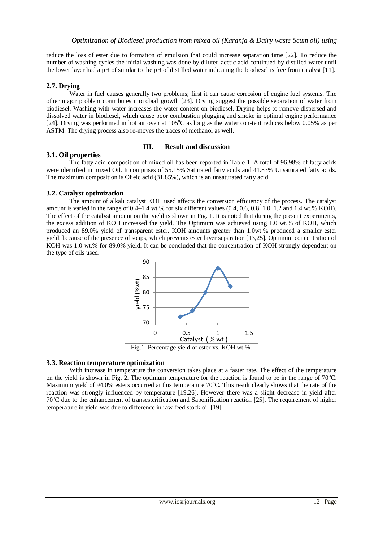reduce the loss of ester due to formation of emulsion that could increase separation time [22]. To reduce the number of washing cycles the initial washing was done by diluted acetic acid continued by distilled water until the lower layer had a pH of similar to the pH of distilled water indicating the biodiesel is free from catalyst [11].

## **2.7. Drying**

Water in fuel causes generally two problems; first it can cause corrosion of engine fuel systems. The other major problem contributes microbial growth [23]. Drying suggest the possible separation of water from biodiesel. Washing with water increases the water content on biodiesel. Drying helps to remove dispersed and dissolved water in biodiesel, which cause poor combustion plugging and smoke in optimal engine performance [24]. Drying was performed in hot air oven at 105°C as long as the water con-tent reduces below 0.05% as per ASTM. The drying process also re-moves the traces of methanol as well.

#### **III. Result and discussion**

#### **3.1. Oil properties**

The fatty acid composition of mixed oil has been reported in Table 1. A total of 96.98% of fatty acids were identified in mixed Oil. It comprises of 55.15% Saturated fatty acids and 41.83% Unsaturated fatty acids. The maximum composition is Olieic acid (31.85%), which is an unsaturated fatty acid.

## **3.2. Catalyst optimization**

The amount of alkali catalyst KOH used affects the conversion efficiency of the process. The catalyst amount is varied in the range of 0.4–1.4 wt.% for six different values (0.4, 0.6, 0.8, 1.0, 1.2 and 1.4 wt.% KOH). The effect of the catalyst amount on the yield is shown in Fig. 1. It is noted that during the present experiments, the excess addition of KOH increased the yield. The Optimum was achieved using 1.0 wt.% of KOH, which produced an 89.0% yield of transparent ester. KOH amounts greater than 1.0wt.% produced a smaller ester yield, because of the presence of soaps, which prevents ester layer separation [13,25]. Optimum concentration of KOH was 1.0 wt.% for 89.0% yield. It can be concluded that the concentration of KOH strongly dependent on the type of oils used.



Fig.1. Percentage yield of ester vs. KOH wt.%.

## **3.3. Reaction temperature optimization**

With increase in temperature the conversion takes place at a faster rate. The effect of the temperature on the yield is shown in Fig. 2. The optimum temperature for the reaction is found to be in the range of  $70^{\circ}$ C. Maximum yield of 94.0% esters occurred at this temperature  $70^{\circ}$ C. This result clearly shows that the rate of the reaction was strongly influenced by temperature [19,26]. However there was a slight decrease in yield after 70<sup>o</sup>C due to the enhancement of transesterification and Saponification reaction [25]. The requirement of higher temperature in yield was due to difference in raw feed stock oil [19].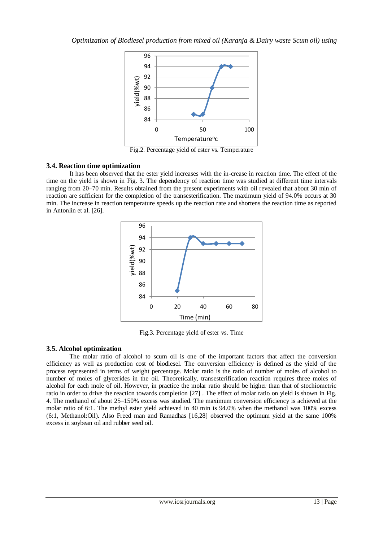

Fig.2. Percentage yield of ester vs. Temperature

#### **3.4. Reaction time optimization**

It has been observed that the ester yield increases with the in-crease in reaction time. The effect of the time on the yield is shown in Fig. 3. The dependency of reaction time was studied at different time intervals ranging from 20–70 min. Results obtained from the present experiments with oil revealed that about 30 min of reaction are sufficient for the completion of the transesterification. The maximum yield of 94.0% occurs at 30 min. The increase in reaction temperature speeds up the reaction rate and shortens the reaction time as reported in Antonlin et al. [26].



Fig.3. Percentage yield of ester vs. Time

## **3.5. Alcohol optimization**

The molar ratio of alcohol to scum oil is one of the important factors that affect the conversion efficiency as well as production cost of biodiesel. The conversion efficiency is defined as the yield of the process represented in terms of weight percentage. Molar ratio is the ratio of number of moles of alcohol to number of moles of glycerides in the oil. Theoretically, transesterification reaction requires three moles of alcohol for each mole of oil. However, in practice the molar ratio should be higher than that of stochiometric ratio in order to drive the reaction towards completion [27] . The effect of molar ratio on yield is shown in Fig. 4. The methanol of about 25–150% excess was studied. The maximum conversion efficiency is achieved at the molar ratio of 6:1. The methyl ester yield achieved in 40 min is 94.0% when the methanol was 100% excess (6:1, Methanol:Oil). Also Freed man and Ramadhas [16,28] observed the optimum yield at the same 100% excess in soybean oil and rubber seed oil.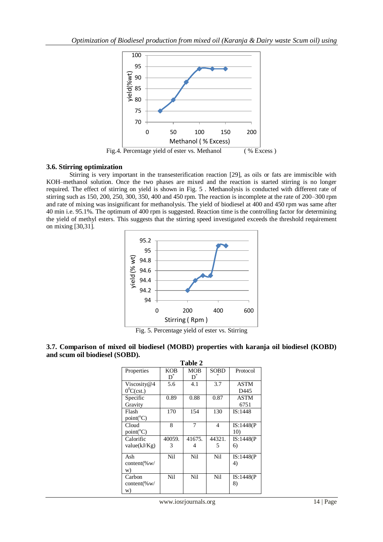

## **3.6. Stirring optimization**

Stirring is very important in the transesterification reaction [29], as oils or fats are immiscible with KOH–methanol solution. Once the two phases are mixed and the reaction is started stirring is no longer required. The effect of stirring on yield is shown in Fig. 5 . Methanolysis is conducted with different rate of stirring such as 150, 200, 250, 300, 350, 400 and 450 rpm. The reaction is incomplete at the rate of 200–300 rpm and rate of mixing was insignificant for methanolysis. The yield of biodiesel at 400 and 450 rpm was same after 40 min i.e. 95.1%. The optimum of 400 rpm is suggested. Reaction time is the controlling factor for determining the yield of methyl esters. This suggests that the stirring speed investigated exceeds the threshold requirement on mixing [30,31].



Fig. 5. Percentage yield of ester vs. Stirring

| 3.7. Comparison of mixed oil biodiesel (MOBD) properties with karanja oil biodiesel (KOBD) |  |  |  |  |
|--------------------------------------------------------------------------------------------|--|--|--|--|
| and scum oil biodiesel (SOBD).                                                             |  |  |  |  |

| Table 2            |             |            |             |            |  |  |  |
|--------------------|-------------|------------|-------------|------------|--|--|--|
| Properties         | <b>KOB</b>  | <b>MOB</b> | <b>SOBD</b> | Protocol   |  |  |  |
|                    | D $\degree$ | $D^*$      |             |            |  |  |  |
| Viscosity@4        | 5.6         | 4.1        | 3.7         | ASTM       |  |  |  |
| $0^0C(cst.)$       |             |            |             | D445       |  |  |  |
| Specific           | 0.89        | 0.88       | 0.87        | ASTM       |  |  |  |
| Gravity            |             |            |             | 6751       |  |  |  |
| Flash              | 170         | 154        | 130         | IS:1448    |  |  |  |
| $point(^{\circ}C)$ |             |            |             |            |  |  |  |
| Cloud              | 8           | 7          | 4           | IS:1448(P) |  |  |  |
| $point(^{\circ}C)$ |             |            |             | 10)        |  |  |  |
| Calorific          | 40059.      | 41675.     | 44321.      | IS:1448(P) |  |  |  |
| value(kJ/Kg)       | 3           | 4          | 5           | 6)         |  |  |  |
|                    |             |            |             |            |  |  |  |
| Ash                | Nil         | Nil        | Nil         | IS:1448(P) |  |  |  |
| content(% $w/$     |             |            |             | 4)         |  |  |  |
| W)                 |             |            |             |            |  |  |  |
| Carbon             | Nil         | Nil        | Nil         | IS:1448(P) |  |  |  |
| content(% $w/$     |             |            |             | 8)         |  |  |  |
| W)                 |             |            |             |            |  |  |  |